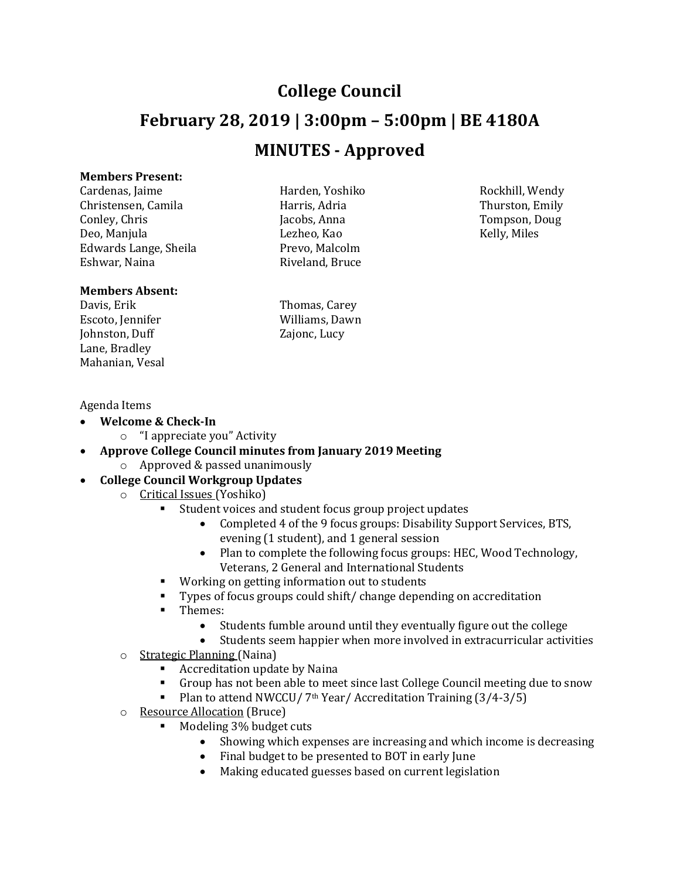## **College Council February 28, 2019 | 3:00pm – 5:00pm | BE 4180A MINUTES - Approved**

## **Members Present:**

Cardenas, Jaime Harden, Yoshiko Rockhill, Wendy Christensen, Camila Harris, Adria Harris, Adria Conley, Chris Conley, Chris Jacobs, Anna Tompson, Doug Deo, Manjula Lezheo, Kao Kelly, Miles Edwards Lange, Sheila Prevo, Malcolm<br>Eshwar, Naina Prevo, Prevo, Prevo, Prevo, Prevo, Prevo, Prevo, Prevo, Prevo, Prevo, Prevo, Prevo, Prevo, Prevo

## **Members Absent:**

Davis, Erik Thomas, Carey Escoto, Jennifer Williams, Dawn Williams, Dawn Williams, Dawn Mulliams, Dawn Mulliams, Dawn Mulliams, Dawn Mulliams, Dawn Mulliams, Dawn Mulliams, Dawn Mulliams, Dawn Mulliams, Dawn Mulliams, Dawn Mulliams, Dawn Mulliams, Johnston, Duff Lane, Bradley Mahanian, Vesal

Riveland, Bruce

## Agenda Items

- **Welcome & Check-In**
	- o "I appreciate you" Activity
- **Approve College Council minutes from January 2019 Meeting**
	- o Approved & passed unanimously
- **College Council Workgroup Updates**
	- o Critical Issues (Yoshiko)
		- Student voices and student focus group project updates
			- Completed 4 of the 9 focus groups: Disability Support Services, BTS, evening (1 student), and 1 general session
			- Plan to complete the following focus groups: HEC, Wood Technology, Veterans, 2 General and International Students
		- Working on getting information out to students
		- Types of focus groups could shift/ change depending on accreditation
		- $\blacksquare$  Themes:
			- Students fumble around until they eventually figure out the college
			- Students seem happier when more involved in extracurricular activities
	- o Strategic Planning (Naina)
		- Accreditation update by Naina
		- Group has not been able to meet since last College Council meeting due to snow
		- Plan to attend NWCCU/ 7<sup>th</sup> Year/ Accreditation Training (3/4-3/5)
	- o Resource Allocation (Bruce)
		- Modeling 3% budget cuts
			- Showing which expenses are increasing and which income is decreasing
			- Final budget to be presented to BOT in early June
			- Making educated guesses based on current legislation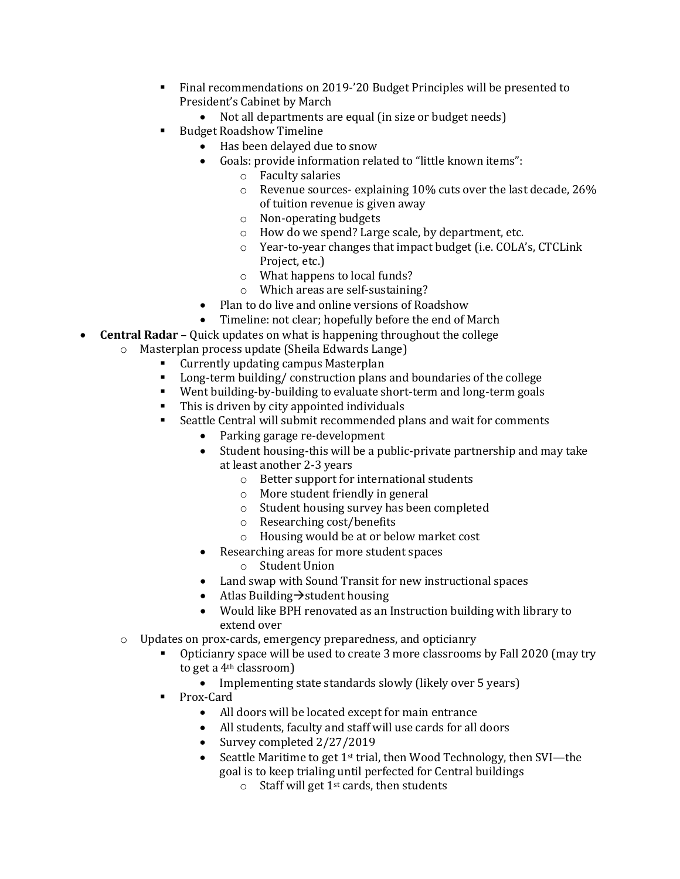- Final recommendations on 2019-'20 Budget Principles will be presented to President's Cabinet by March
	- Not all departments are equal (in size or budget needs)
- **Budget Roadshow Timeline** 
	- Has been delayed due to snow
	- Goals: provide information related to "little known items":
		- o Faculty salaries
		- o Revenue sources- explaining 10% cuts over the last decade, 26% of tuition revenue is given away
		- o Non-operating budgets
		- o How do we spend? Large scale, by department, etc.
		- o Year-to-year changes that impact budget (i.e. COLA's, CTCLink Project, etc.)
		- o What happens to local funds?
		- o Which areas are self-sustaining?
	- Plan to do live and online versions of Roadshow
	- Timeline: not clear; hopefully before the end of March
- **Central Radar** Quick updates on what is happening throughout the college
	- o Masterplan process update (Sheila Edwards Lange)
		- Currently updating campus Masterplan<br>■ Long-term building/construction plans
		- Long-term building/ construction plans and boundaries of the college<br>■ Went building-by-building to evaluate short-term and long-term goals
		- Went building-by-building to evaluate short-term and long-term goals<br>■ This is driven by city appointed individuals
		- This is driven by city appointed individuals<br>• Seattle Central will submit recommended pl
		- Seattle Central will submit recommended plans and wait for comments
			- Parking garage re-development
			- Student housing-this will be a public-private partnership and may take at least another 2-3 years
				- o Better support for international students
				- o More student friendly in general
				- o Student housing survey has been completed
				- o Researching cost/benefits
				- o Housing would be at or below market cost
			- Researching areas for more student spaces
				- o Student Union
			- Land swap with Sound Transit for new instructional spaces
			- Atlas Building  $\rightarrow$  student housing
			- Would like BPH renovated as an Instruction building with library to extend over
	- o Updates on prox-cards, emergency preparedness, and opticianry
		- Opticianry space will be used to create 3 more classrooms by Fall 2020 (may try to get a 4th classroom)
			- Implementing state standards slowly (likely over 5 years)
		- Prox-Card<br>● All
			- All doors will be located except for main entrance
			- All students, faculty and staff will use cards for all doors
			- Survey completed 2/27/2019
			- Seattle Maritime to get 1st trial, then Wood Technology, then SVI—the goal is to keep trialing until perfected for Central buildings
				- $\circ$  Staff will get 1<sup>st</sup> cards, then students